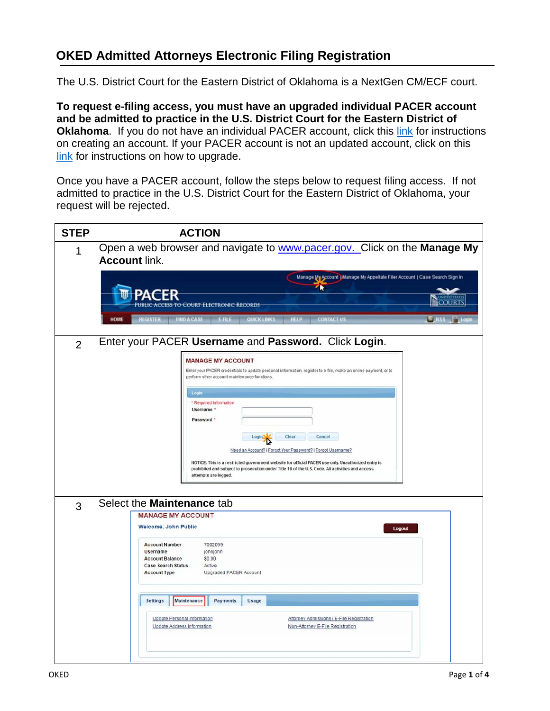## **OKED Admitted Attorneys Electronic Filing Registration**

The U.S. District Court for the Eastern District of Oklahoma is a NextGen CM/ECF court.

**To request e-filing access, you must have an upgraded individual PACER account and be admitted to practice in the U.S. District Court for the Eastern District of Oklahoma**. If you do not have an individual PACER account, click this [link](https://www.oked.uscourts.gov/sites/oked/files/New-PACER-Account_OKED_060719.pdf) for instructions on creating an account. If your PACER account is not an updated account, click on this [link](https://www.oked.uscourts.gov/sites/oked/files/Upgrade-Current-PACER-Account_OKED_031419.pdf) for instructions on how to upgrade.

Once you have a PACER account, follow the steps below to request filing access. If not admitted to practice in the U.S. District Court for the Eastern District of Oklahoma, your request will be rejected.

| <b>STEP</b>    | <b>ACTION</b>                                                                                                                                                                                                                                                                                 |  |  |
|----------------|-----------------------------------------------------------------------------------------------------------------------------------------------------------------------------------------------------------------------------------------------------------------------------------------------|--|--|
| 1              | Open a web browser and navigate to www.pacer.gov. Click on the Manage My<br><b>Account link.</b>                                                                                                                                                                                              |  |  |
|                | Manage My Account   Manage My Appellate Filer Account   Case Search Sign In<br>R<br><b>COURTS</b><br><b>TO COURT ELECTRONIC RECORDS</b><br><b>HOME</b><br><b>HELP</b><br>FIND A CASE E-FILE QUICK LINKS<br><b>CONTACT US</b><br><b>REGISTER</b><br>$5$ RSS<br>ij Log                          |  |  |
| $\overline{2}$ | Enter your PACER Username and Password. Click Login.<br><b>MANAGE MY ACCOUNT</b>                                                                                                                                                                                                              |  |  |
|                | Enter your PACER credentials to update personal information, register to e-file, make an online payment, or to<br>perform other account maintenance functions.                                                                                                                                |  |  |
|                | Login<br>* Required Information<br>Username *                                                                                                                                                                                                                                                 |  |  |
|                | Password *<br>Clear<br>Cancel<br>Login <sup>1</sup>                                                                                                                                                                                                                                           |  |  |
|                | Need an Account?   Forgot Your Password?   Forgot Username?<br>NOTICE: This is a restricted government website for official PACER use only. Unauthorized entry is<br>prohibited and subject to prosecution under Title 18 of the U.S. Code. All activities and access<br>attempts are logged. |  |  |
| 3              | Select the Maintenance tab                                                                                                                                                                                                                                                                    |  |  |
|                | <b>MANAGE MY ACCOUNT</b><br><b>Welcome, John Public</b><br>Logout                                                                                                                                                                                                                             |  |  |
|                | <b>Account Number</b><br>7002099<br><b>Username</b><br>johnjohn<br><b>Account Balance</b><br>\$0.00<br><b>Case Search Status</b><br>Active<br><b>Account Type</b><br>Upgraded PACER Account                                                                                                   |  |  |
|                | <b>Settings</b><br>Maintenance<br><b>Payments</b><br>Usage                                                                                                                                                                                                                                    |  |  |
|                | Update Personal Information<br>Attorney Admissions / E-File Registration<br>Non-Attorney E-File Registration<br><b>Update Address Information</b>                                                                                                                                             |  |  |
|                |                                                                                                                                                                                                                                                                                               |  |  |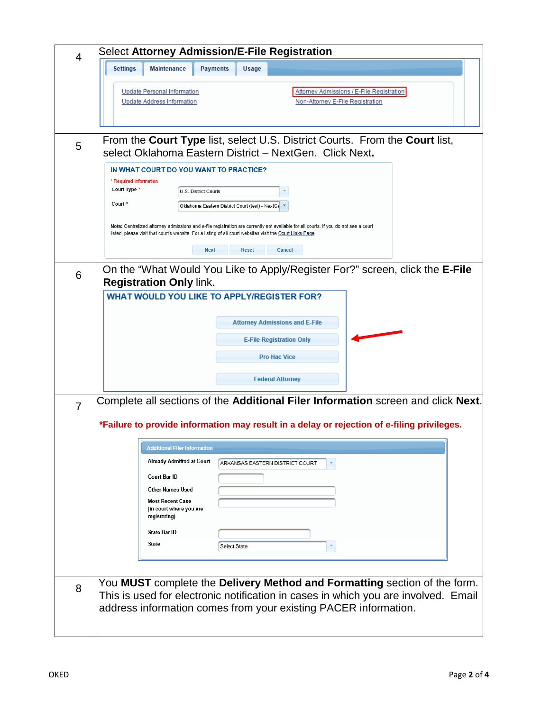| 4              | <b>Select Attorney Admission/E-File Registration</b>                                                                                                                                                                                              |  |  |
|----------------|---------------------------------------------------------------------------------------------------------------------------------------------------------------------------------------------------------------------------------------------------|--|--|
|                | <b>Settings</b><br><b>Maintenance</b><br><b>Payments</b><br>Usage                                                                                                                                                                                 |  |  |
|                | <b>Update Personal Information</b><br>Attorney Admissions / E-File Registration<br><b>Update Address Information</b><br>Non-Attorney E-File Registration                                                                                          |  |  |
| 5              | From the Court Type list, select U.S. District Courts. From the Court list,<br>select Oklahoma Eastern District - NextGen. Click Next.                                                                                                            |  |  |
|                | IN WHAT COURT DO YOU WANT TO PRACTICE?<br>* Required Information<br>Court Type *<br>U.S. District Courts<br>Court *<br>Oklahoma Eastern District Court (test) - NextGe                                                                            |  |  |
|                | Note: Centralized attorney admissions and e-file registration are currently not available for all courts. If you do not see a court<br>listed, please visit that court's website. For a listing of all court websites visit the Court Links Page. |  |  |
|                | <b>Next</b><br><b>Reset</b><br>Cancel                                                                                                                                                                                                             |  |  |
| 6              | On the "What Would You Like to Apply/Register For?" screen, click the E-File<br><b>Registration Only link.</b><br><b>WHAT WOULD YOU LIKE TO APPLY/REGISTER FOR?</b>                                                                               |  |  |
|                | <b>Attorney Admissions and E-File</b>                                                                                                                                                                                                             |  |  |
|                | <b>E-File Registration Only</b>                                                                                                                                                                                                                   |  |  |
|                | <b>Pro Hac Vice</b>                                                                                                                                                                                                                               |  |  |
|                | <b>Federal Attorney</b>                                                                                                                                                                                                                           |  |  |
| $\overline{7}$ | Complete all sections of the Additional Filer Information screen and click Next.                                                                                                                                                                  |  |  |
|                | *Failure to provide information may result in a delay or rejection of e-filing privileges.                                                                                                                                                        |  |  |
|                | Additional Filer Information                                                                                                                                                                                                                      |  |  |
|                | <b>Already Admitted at Court</b><br>ARKANSAS EASTERN DISTRICT COURT<br>×                                                                                                                                                                          |  |  |
|                | Court Bar ID<br><b>Other Names Used</b>                                                                                                                                                                                                           |  |  |
|                | <b>Most Recent Case</b><br>(in court where you are<br>registering)                                                                                                                                                                                |  |  |
|                | <b>State Bar ID</b>                                                                                                                                                                                                                               |  |  |
|                | State<br>Select State                                                                                                                                                                                                                             |  |  |
| 8              | You MUST complete the Delivery Method and Formatting section of the form.<br>This is used for electronic notification in cases in which you are involved. Email<br>address information comes from your existing PACER information.                |  |  |
|                |                                                                                                                                                                                                                                                   |  |  |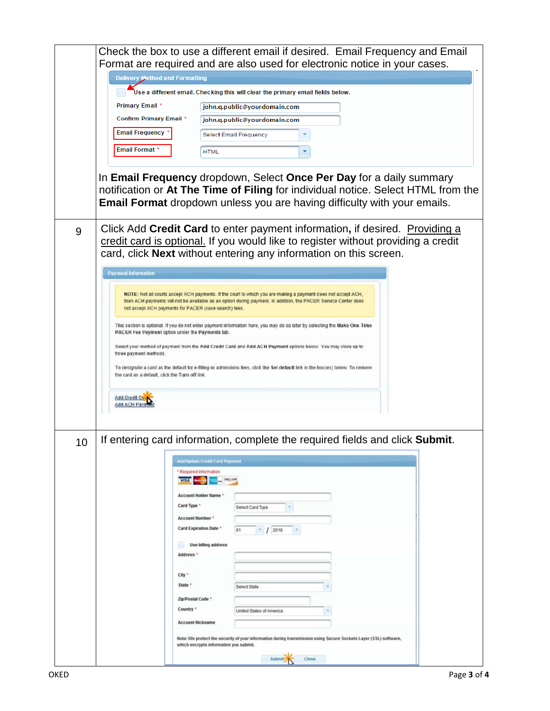|    | Check the box to use a different email if desired. Email Frequency and Email<br>Format are required and are also used for electronic notice in your cases. |                                                                                                                                                                                                                                              |
|----|------------------------------------------------------------------------------------------------------------------------------------------------------------|----------------------------------------------------------------------------------------------------------------------------------------------------------------------------------------------------------------------------------------------|
|    | <b>Delivery Method and Formatting</b>                                                                                                                      |                                                                                                                                                                                                                                              |
|    |                                                                                                                                                            | Use a different email. Checking this will clear the primary email fields below.                                                                                                                                                              |
|    | Primary Email *                                                                                                                                            | john.q.public@yourdomain.com                                                                                                                                                                                                                 |
|    | Confirm Primary Email *                                                                                                                                    | john.q.public@yourdomain.com                                                                                                                                                                                                                 |
|    | <b>Email Frequency</b>                                                                                                                                     | Select Email Frequency                                                                                                                                                                                                                       |
|    | Email Format *                                                                                                                                             | <b>HTML</b>                                                                                                                                                                                                                                  |
|    |                                                                                                                                                            |                                                                                                                                                                                                                                              |
|    |                                                                                                                                                            | In Email Frequency dropdown, Select Once Per Day for a daily summary<br>notification or At The Time of Filing for individual notice. Select HTML from the<br><b>Email Format</b> dropdown unless you are having difficulty with your emails. |
| 9  |                                                                                                                                                            | Click Add Credit Card to enter payment information, if desired. Providing a<br>credit card is optional. If you would like to register without providing a credit<br>card, click Next without entering any information on this screen.        |
|    | <b>Payment Information</b>                                                                                                                                 |                                                                                                                                                                                                                                              |
|    | not accept ACH payments for PACER (case search) fees.                                                                                                      | NOTE: Not all courts accept ACH payments. If the court to which you are making a payment does not accept ACH,<br>then ACH payments will not be available as an option during payment. In addition, the PACER Service Center does             |
|    | PACER Fee Payment option under the Payments tab.                                                                                                           | This section is optional. If you do not enter payment information here, you may do so later by selecting the Make One-Time                                                                                                                   |
|    |                                                                                                                                                            | Select your method of payment from the Add Credit Card and Add ACH Payment options below. You may store up to                                                                                                                                |
|    | three payment methods.                                                                                                                                     |                                                                                                                                                                                                                                              |
|    | the card as a default, click the Turn off link.                                                                                                            | To designate a card as the default for e-filling or admissions fees, click the Set default link in the box(es) below. To remove                                                                                                              |
|    |                                                                                                                                                            |                                                                                                                                                                                                                                              |
|    | Add Credit On<br><b>Add ACH Payr</b>                                                                                                                       |                                                                                                                                                                                                                                              |
|    |                                                                                                                                                            |                                                                                                                                                                                                                                              |
| 10 |                                                                                                                                                            | If entering card information, complete the required fields and click Submit.<br>Add/Update Credit Card Payment                                                                                                                               |
|    | <b>VISA</b>                                                                                                                                                | * Required Information                                                                                                                                                                                                                       |
|    |                                                                                                                                                            | Account Holder Name *                                                                                                                                                                                                                        |
|    | Card Type *                                                                                                                                                | Select Card Type                                                                                                                                                                                                                             |
|    |                                                                                                                                                            | Account Number *                                                                                                                                                                                                                             |
|    |                                                                                                                                                            | <b>Card Expiration Date *</b><br>01<br>12018                                                                                                                                                                                                 |
|    |                                                                                                                                                            | Use billing address                                                                                                                                                                                                                          |
|    | Address *                                                                                                                                                  |                                                                                                                                                                                                                                              |
|    | City *                                                                                                                                                     |                                                                                                                                                                                                                                              |
|    | State *                                                                                                                                                    | Select State                                                                                                                                                                                                                                 |
|    |                                                                                                                                                            | Zip/Postal Code *                                                                                                                                                                                                                            |
|    | Country *                                                                                                                                                  | United States of America<br>×                                                                                                                                                                                                                |
|    |                                                                                                                                                            | <b>Account Nickname</b>                                                                                                                                                                                                                      |
|    |                                                                                                                                                            | Note: We protect the security of your information during transmission using Secure Sockets Layer (SSL) software,<br>which encrypts information you submit.                                                                                   |
|    |                                                                                                                                                            | Submit<br>Close                                                                                                                                                                                                                              |